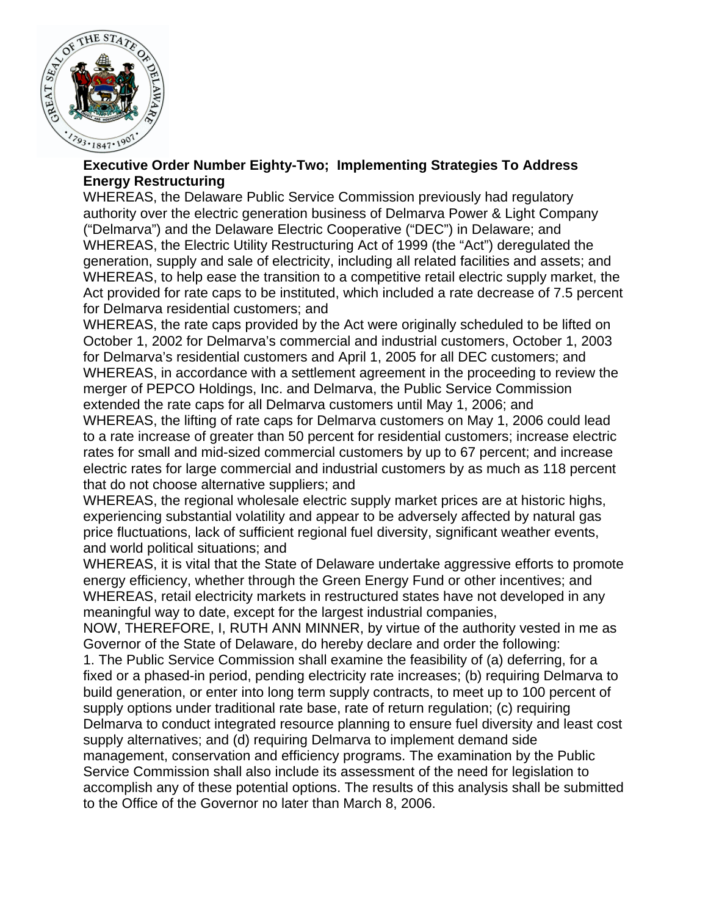

## **Executive Order Number Eighty-Two; Implementing Strategies To Address Energy Restructuring**

WHEREAS, the Delaware Public Service Commission previously had regulatory authority over the electric generation business of Delmarva Power & Light Company ("Delmarva") and the Delaware Electric Cooperative ("DEC") in Delaware; and WHEREAS, the Electric Utility Restructuring Act of 1999 (the "Act") deregulated the generation, supply and sale of electricity, including all related facilities and assets; and WHEREAS, to help ease the transition to a competitive retail electric supply market, the Act provided for rate caps to be instituted, which included a rate decrease of 7.5 percent for Delmarva residential customers; and

WHEREAS, the rate caps provided by the Act were originally scheduled to be lifted on October 1, 2002 for Delmarva's commercial and industrial customers, October 1, 2003 for Delmarva's residential customers and April 1, 2005 for all DEC customers; and WHEREAS, in accordance with a settlement agreement in the proceeding to review the merger of PEPCO Holdings, Inc. and Delmarva, the Public Service Commission extended the rate caps for all Delmarva customers until May 1, 2006; and

WHEREAS, the lifting of rate caps for Delmarva customers on May 1, 2006 could lead to a rate increase of greater than 50 percent for residential customers; increase electric rates for small and mid-sized commercial customers by up to 67 percent; and increase electric rates for large commercial and industrial customers by as much as 118 percent that do not choose alternative suppliers; and

WHEREAS, the regional wholesale electric supply market prices are at historic highs, experiencing substantial volatility and appear to be adversely affected by natural gas price fluctuations, lack of sufficient regional fuel diversity, significant weather events, and world political situations; and

WHEREAS, it is vital that the State of Delaware undertake aggressive efforts to promote energy efficiency, whether through the Green Energy Fund or other incentives; and WHEREAS, retail electricity markets in restructured states have not developed in any meaningful way to date, except for the largest industrial companies,

NOW, THEREFORE, I, RUTH ANN MINNER, by virtue of the authority vested in me as Governor of the State of Delaware, do hereby declare and order the following:

1. The Public Service Commission shall examine the feasibility of (a) deferring, for a fixed or a phased-in period, pending electricity rate increases; (b) requiring Delmarva to build generation, or enter into long term supply contracts, to meet up to 100 percent of supply options under traditional rate base, rate of return regulation; (c) requiring Delmarva to conduct integrated resource planning to ensure fuel diversity and least cost supply alternatives; and (d) requiring Delmarva to implement demand side management, conservation and efficiency programs. The examination by the Public Service Commission shall also include its assessment of the need for legislation to accomplish any of these potential options. The results of this analysis shall be submitted to the Office of the Governor no later than March 8, 2006.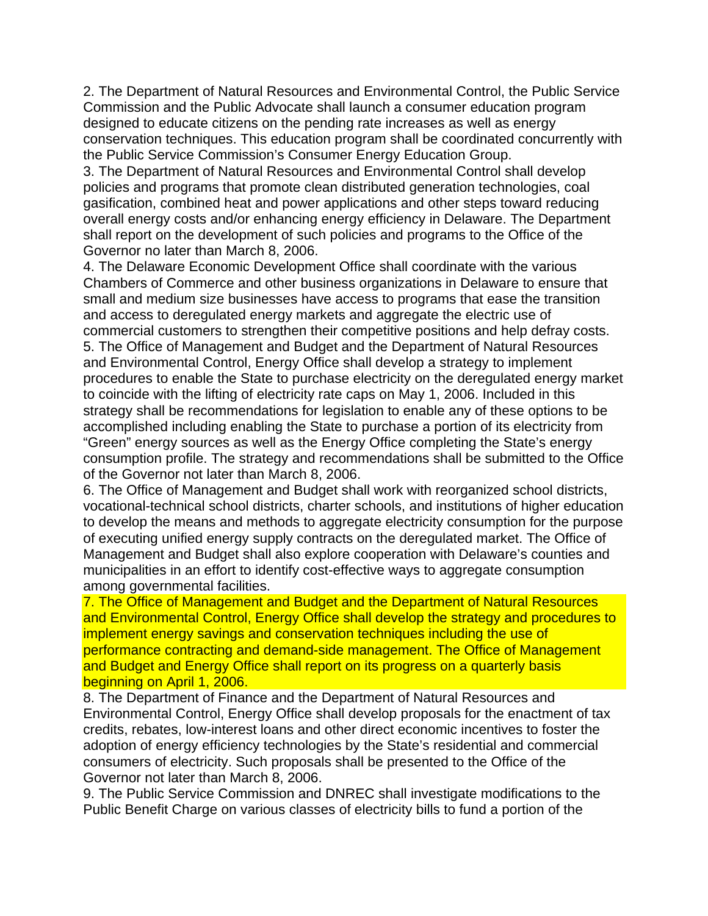2. The Department of Natural Resources and Environmental Control, the Public Service Commission and the Public Advocate shall launch a consumer education program designed to educate citizens on the pending rate increases as well as energy conservation techniques. This education program shall be coordinated concurrently with the Public Service Commission's Consumer Energy Education Group.

3. The Department of Natural Resources and Environmental Control shall develop policies and programs that promote clean distributed generation technologies, coal gasification, combined heat and power applications and other steps toward reducing overall energy costs and/or enhancing energy efficiency in Delaware. The Department shall report on the development of such policies and programs to the Office of the Governor no later than March 8, 2006.

4. The Delaware Economic Development Office shall coordinate with the various Chambers of Commerce and other business organizations in Delaware to ensure that small and medium size businesses have access to programs that ease the transition and access to deregulated energy markets and aggregate the electric use of commercial customers to strengthen their competitive positions and help defray costs. 5. The Office of Management and Budget and the Department of Natural Resources and Environmental Control, Energy Office shall develop a strategy to implement procedures to enable the State to purchase electricity on the deregulated energy market to coincide with the lifting of electricity rate caps on May 1, 2006. Included in this strategy shall be recommendations for legislation to enable any of these options to be accomplished including enabling the State to purchase a portion of its electricity from "Green" energy sources as well as the Energy Office completing the State's energy consumption profile. The strategy and recommendations shall be submitted to the Office of the Governor not later than March 8, 2006.

6. The Office of Management and Budget shall work with reorganized school districts, vocational-technical school districts, charter schools, and institutions of higher education to develop the means and methods to aggregate electricity consumption for the purpose of executing unified energy supply contracts on the deregulated market. The Office of Management and Budget shall also explore cooperation with Delaware's counties and municipalities in an effort to identify cost-effective ways to aggregate consumption among governmental facilities.

7. The Office of Management and Budget and the Department of Natural Resources and Environmental Control, Energy Office shall develop the strategy and procedures to implement energy savings and conservation techniques including the use of performance contracting and demand-side management. The Office of Management and Budget and Energy Office shall report on its progress on a quarterly basis beginning on April 1, 2006.

8. The Department of Finance and the Department of Natural Resources and Environmental Control, Energy Office shall develop proposals for the enactment of tax credits, rebates, low-interest loans and other direct economic incentives to foster the adoption of energy efficiency technologies by the State's residential and commercial consumers of electricity. Such proposals shall be presented to the Office of the Governor not later than March 8, 2006.

9. The Public Service Commission and DNREC shall investigate modifications to the Public Benefit Charge on various classes of electricity bills to fund a portion of the